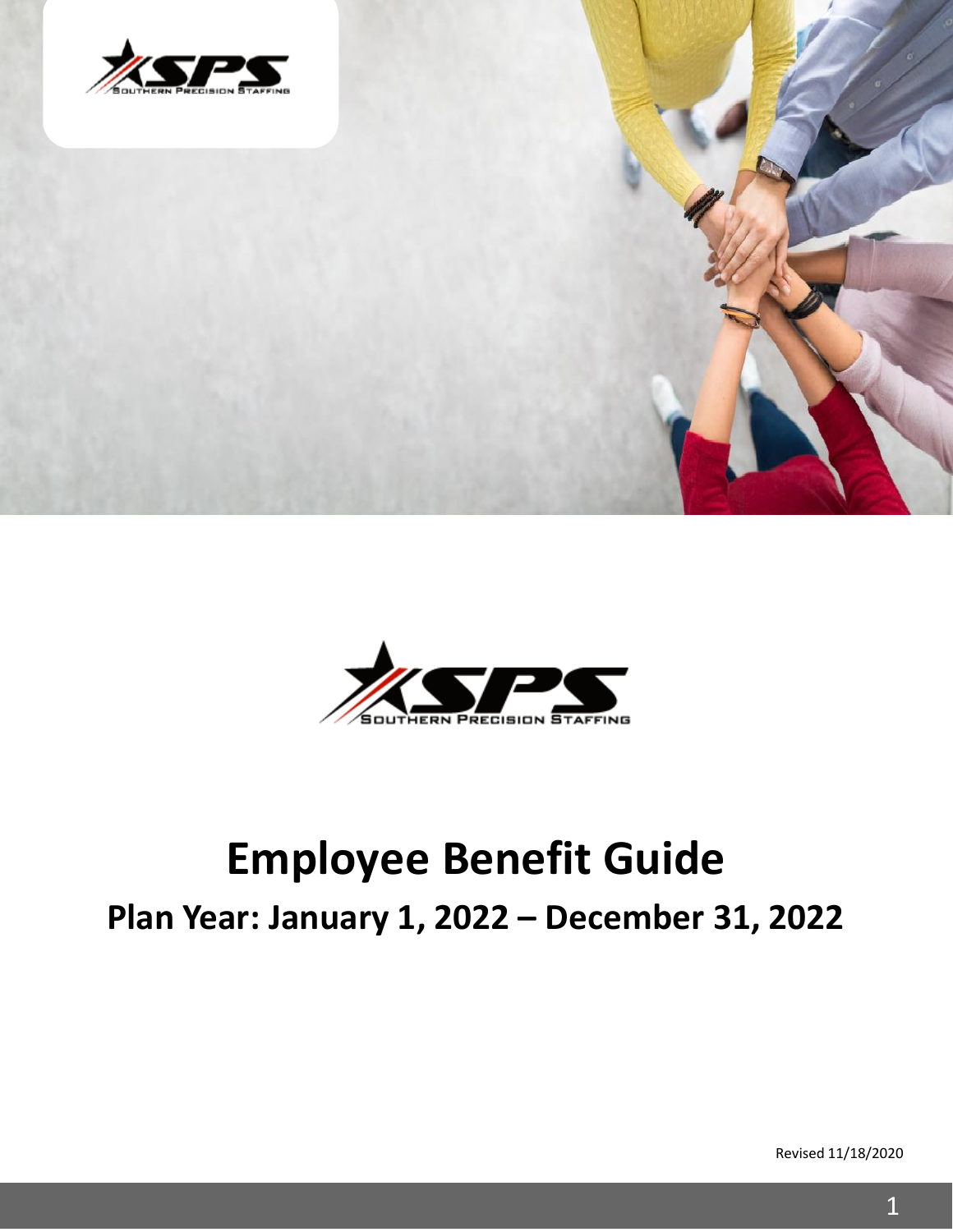



## **Employee Benefit Guide Plan Year: January 1, 2022 – December 31, 2022**

Revised 11/18/2020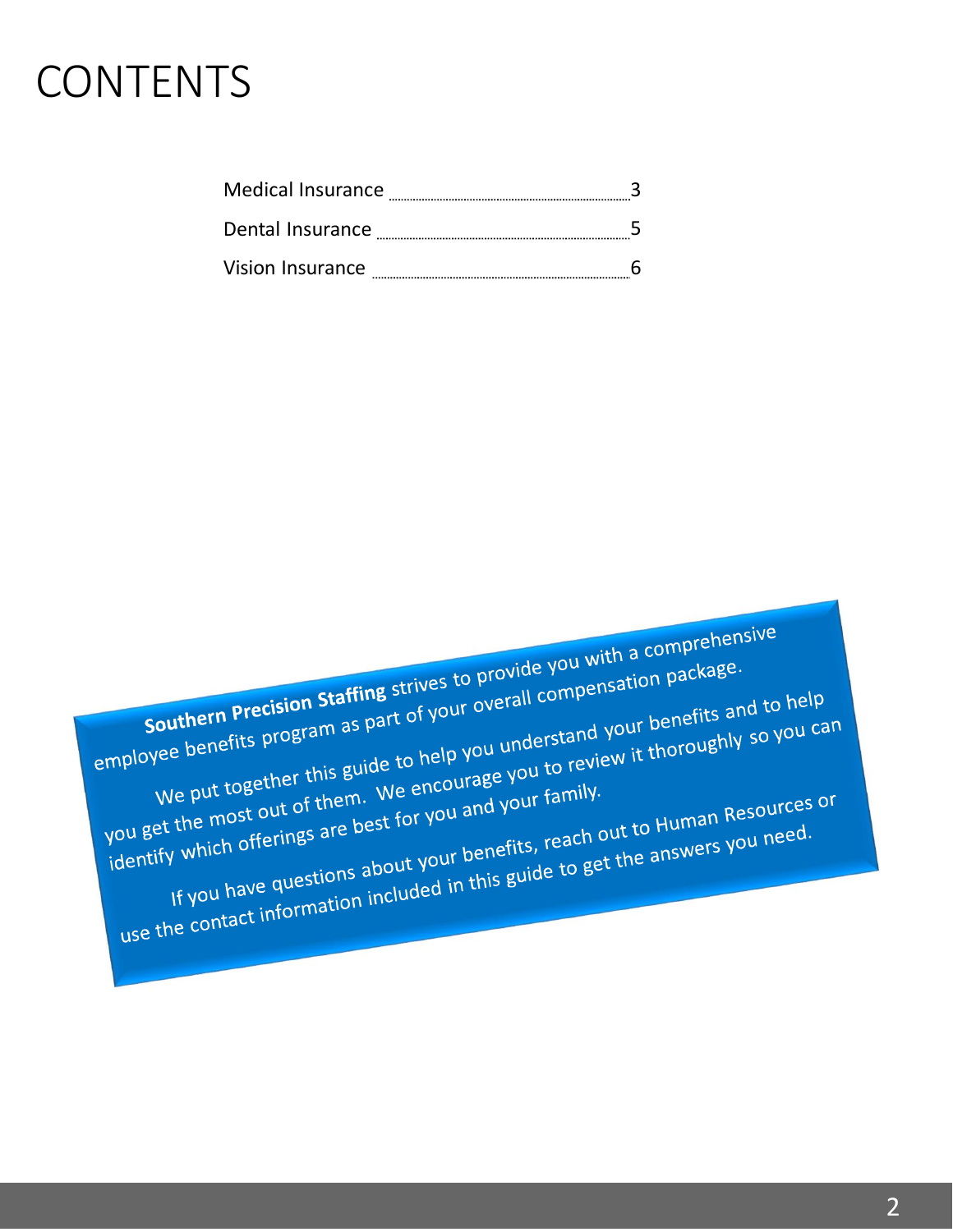### **CONTENTS**

| <b>Medical Insurance</b> |  |
|--------------------------|--|
|--------------------------|--|

5 Dental Insurance

| Vision Insurance |  |  |
|------------------|--|--|
|------------------|--|--|

**Southern Precision Staffing** strives to provide you with a comprehensive<br>southern Precision Staffing strives to provide you with a comprehensive<br>henefits program as part of your overall compensation package. Southern Precision Staffing strives to provide you with a completion.<br>
employee benefits program as part of your overall compensation package.<br>
Legather this guide to help you understand your benefits and your benefits. Southern Precision Staffing strives to provide a compensation package.<br>We benefits program as part of your overall compensation package and to help<br>We put together this guide to help you understand your benefits and to you Southern Precision Stating as part of your overall complete the most of program as part of you understand your benefits and to help<br>We put together this guide to help you understand your benefits and to you can<br>We put toge We put together this guas.<br>
You get the most out of them. We encourage you to the<br>
identify which offerings are best for you and your family.<br>
identify which offerings are best for your benefits, reach offerings about your We put together this by the encourage your family.<br>It the most out of them. We encourage your family.<br>If you have questions about your benefits, reach out to Human Resources or<br>If you have questions about your benefits, re The most out of the most out of the most out of the most out of the most out of the dentify which offerings are best for you and the dut to Human Resourced.<br>If you have questions about your benefits, reach out to Human Res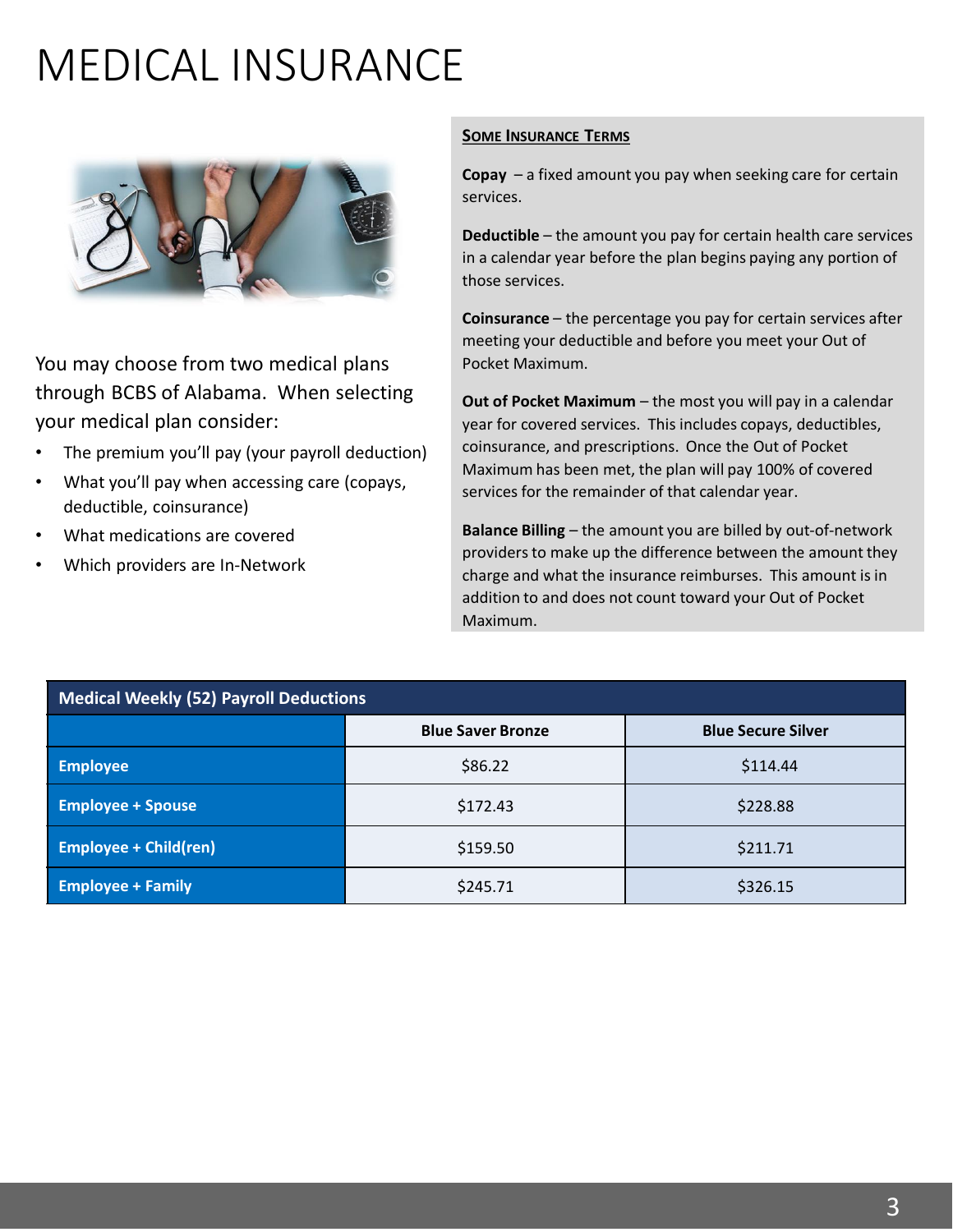# MEDICAL INSURANCE



You may choose from two medical plans through BCBS of Alabama. When selecting your medical plan consider:

- The premium you'll pay (your payroll deduction)
- What you'll pay when accessing care (copays, deductible, coinsurance)
- What medications are covered
- Which providers are In-Network

#### **SOME INSURANCE TERMS**

**Copay** – a fixed amount you pay when seeking care for certain services.

**Deductible** – the amount you pay for certain health care services in a calendar year before the plan begins paying any portion of those services.

**Coinsurance** – the percentage you pay for certain services after meeting your deductible and before you meet your Out of Pocket Maximum.

**Out of Pocket Maximum** – the most you will pay in a calendar year for covered services. This includes copays, deductibles, coinsurance, and prescriptions. Once the Out of Pocket Maximum has been met, the plan will pay 100% of covered services for the remainder of that calendar year.

**Balance Billing** – the amount you are billed by out-of-network providers to make up the difference between the amount they charge and what the insurance reimburses. This amount is in addition to and does not count toward your Out of Pocket Maximum.

| Medical Weekly (52) Payroll Deductions |                          |                           |
|----------------------------------------|--------------------------|---------------------------|
|                                        | <b>Blue Saver Bronze</b> | <b>Blue Secure Silver</b> |
| <b>Employee</b>                        | \$86.22                  | \$114.44                  |
| <b>Employee + Spouse</b>               | \$172.43                 | \$228.88                  |
| <b>Employee + Child(ren)</b>           | \$159.50                 | \$211.71                  |
| <b>Employee + Family</b>               | \$245.71                 | \$326.15                  |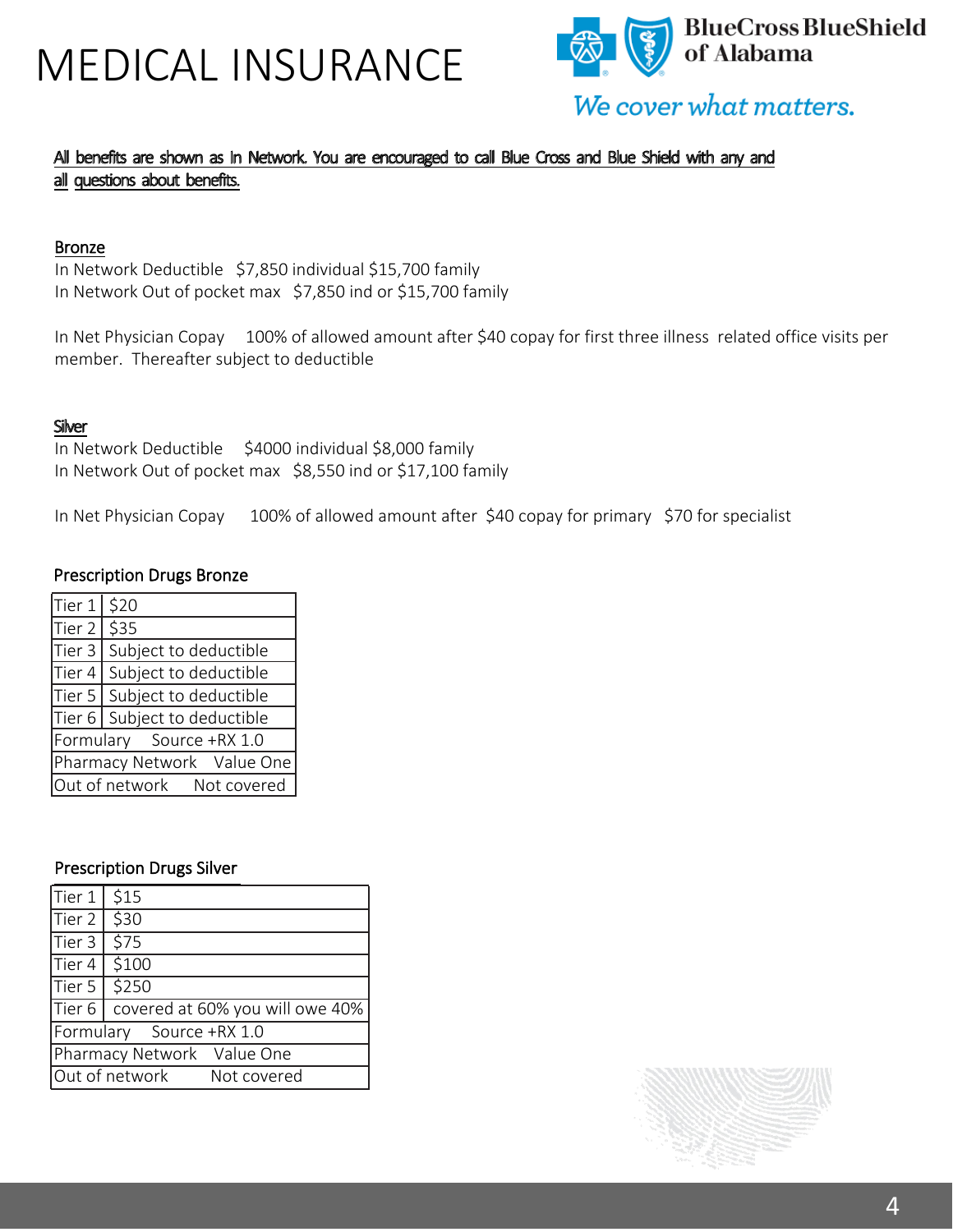## MEDICAL INSURANCE



### All benefits are shown as In Network. You are encouraged to call Blue Cross and Blue Shield with any and all questions about benefits.

#### Bronze

In Network Deductible \$7,850 individual \$15,700 family In Network Out of pocket max \$7,850 ind or \$15,700 family

In Net Physician Copay 100% of allowed amount after \$40 copay for first three illness related office visits per member. Thereafter subject to deductible

#### **Silver**

In Network Deductible \$4000 individual \$8,000 family In Network Out of pocket max \$8,550 ind or \$17,100 family

In Net Physician Copay 100% of allowed amount after \$40 copay for primary \$70 for specialist

#### Prescription Drugs Bronze

| Tier 1   \$20              |                                |
|----------------------------|--------------------------------|
| Tier 2   \$35              |                                |
|                            | Tier 3 Subject to deductible   |
|                            | Tier 4 Subject to deductible   |
|                            | Tier 5   Subject to deductible |
|                            | Tier 6 Subject to deductible   |
| Formulary Source +RX 1.0   |                                |
| Pharmacy Network Value One |                                |
| Out of network Not covered |                                |

#### Prescription Drugs Silver

| Tier 1   \$15              |                                          |
|----------------------------|------------------------------------------|
| $Tier 2$ \$30              |                                          |
| Tier 3 $\sqrt{575}$        |                                          |
| $Tier 4$ \$100             |                                          |
| Tier 5   \$250             |                                          |
|                            | Tier 6   covered at 60% you will owe 40% |
| Formulary Source +RX 1.0   |                                          |
| Pharmacy Network Value One |                                          |
|                            | Out of network Not covered               |

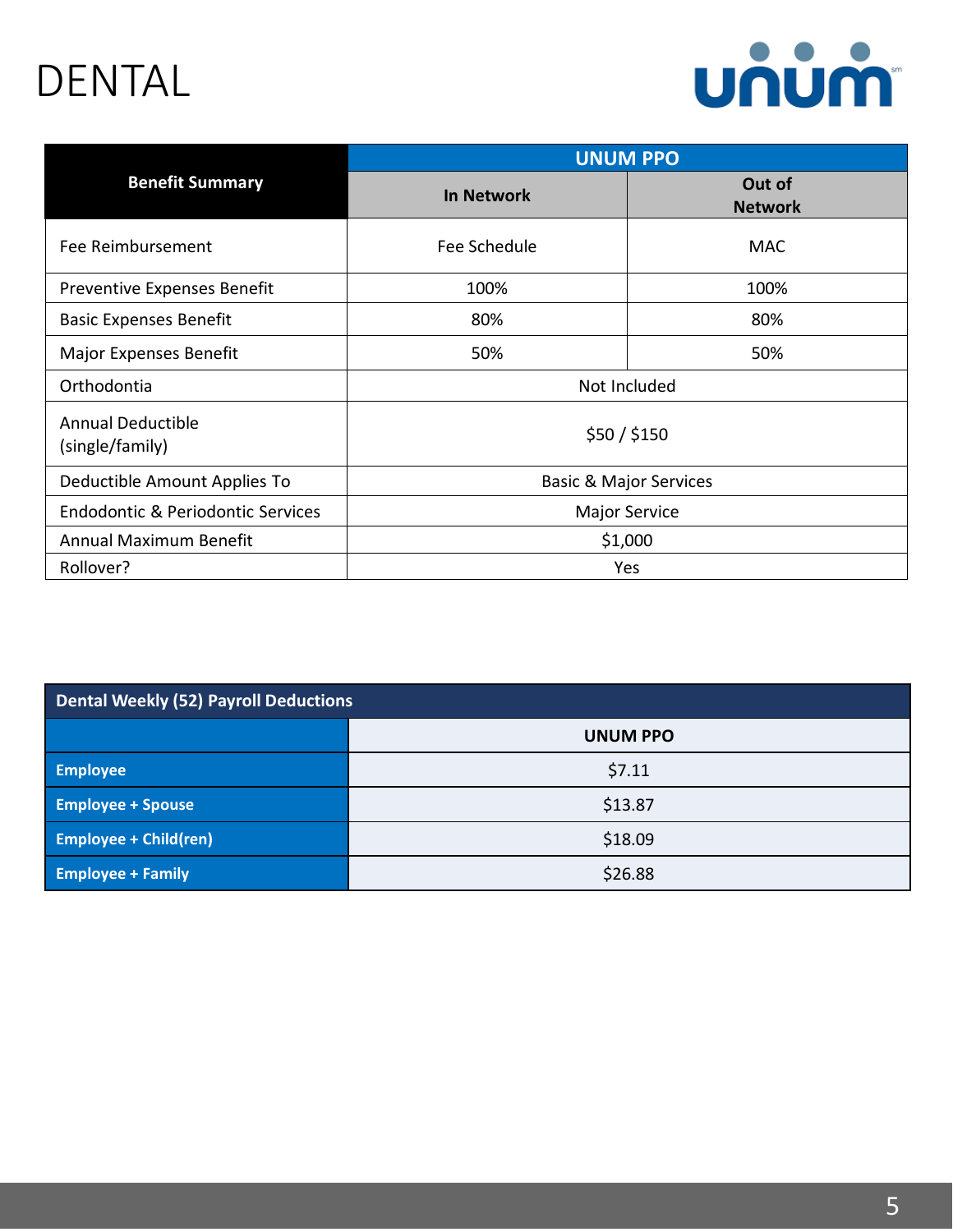## DENTAL



|                                             | <b>UNUM PPO</b>                   |                          |
|---------------------------------------------|-----------------------------------|--------------------------|
| <b>Benefit Summary</b>                      | <b>In Network</b>                 | Out of<br><b>Network</b> |
| Fee Reimbursement                           | Fee Schedule                      | <b>MAC</b>               |
| Preventive Expenses Benefit                 | 100%                              | 100%                     |
| <b>Basic Expenses Benefit</b>               | 80%                               | 80%                      |
| <b>Major Expenses Benefit</b>               | 50%                               | 50%                      |
| Orthodontia                                 |                                   | Not Included             |
| <b>Annual Deductible</b><br>(single/family) |                                   | \$50 / \$150             |
| Deductible Amount Applies To                | <b>Basic &amp; Major Services</b> |                          |
| Endodontic & Periodontic Services           | <b>Major Service</b>              |                          |
| Annual Maximum Benefit                      | \$1,000                           |                          |
| Rollover?                                   |                                   | Yes                      |

| <b>Dental Weekly (52) Payroll Deductions</b> |                 |
|----------------------------------------------|-----------------|
|                                              | <b>UNUM PPO</b> |
| <b>Employee</b>                              | \$7.11          |
| <b>Employee + Spouse</b>                     | \$13.87         |
| <b>Employee + Child(ren)</b>                 | \$18.09         |
| <b>Employee + Family</b>                     | \$26.88         |